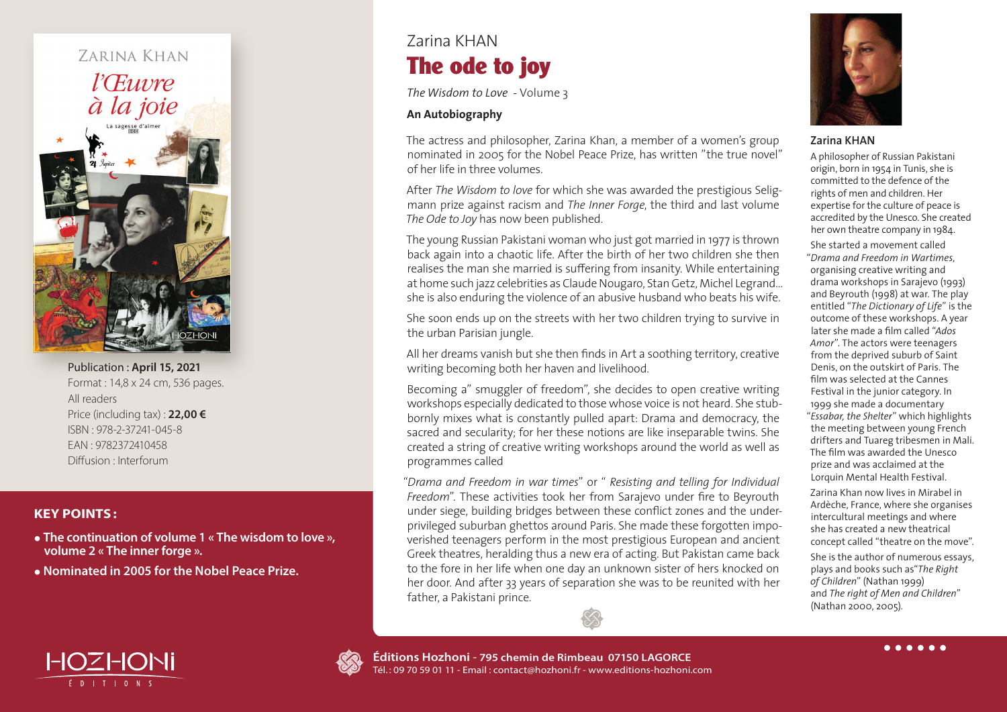# ZARINA KHAN *l'Œuvre* à la joie

Publication : **April 15, 2021** Format : 14,8 x 24 cm, 536 pages. All readers Price (including tax) : **22,00 €** ISBN : 978-2-37241-045-8 EAN : 9782372410458 Diffusion : Interforum

### **KEY POINTS:**

**• The continuation of volume 1 « The wisdom to love », volume 2 « The inner forge ».**

**• Nominated in 2005 for the Nobel Peace Prize.**

# Zarina KHAN The ode to joy

*The Wisdom to Love -* Volume 3

#### **An Autobiography**

The actress and philosopher, Zarina Khan, a member of a women's group nominated in 2005 for the Nobel Peace Prize, has written "the true novel" of her life in three volumes.

After *The Wisdom to love* for which she was awarded the prestigious Seligmann prize against racism and *The Inner Forge*, the third and last volume *The Ode to Joy* has now been published.

The young Russian Pakistani woman who just got married in 1977 is thrown back again into a chaotic life. After the birth of her two children she then realises the man she married is su ffering from insanity. While entertaining at home such jazz celebrities as Claude Nougaro, Stan Getz, Michel Legrand… she is also enduring the violence of an abusive husband who beats his wife.

She soon ends up on the streets with her two children trying to survive in the urban Parisian jungle.

All her dreams vanish but she then finds in Art a soothing territory, creative writing becoming both her haven and livelihood.

Becoming a" smuggler of freedom", she decides to open creative writing workshops especially dedicated to those whose voice is not heard. She stubbornly mixes what is constantly pulled apart: Drama and democracy, the sacred and secularity; for her these notions are like inseparable twins. She created a string of creative writing workshops around the world as well as programmes called

"*Drama and Freedom in war times*" or " *Resisting and telling for Individual Freedom*". These activities took her from Sarajevo under fire to Beyrouth under siege, building bridges between these conflict zones and the underprivileged suburban ghettos around Paris. She made these forgotten impoverished teenagers perform in the most prestigious European and ancient Greek theatres, heralding thus a new era of acting. But Pakistan came back to the fore in her life when one day an unknown sister of hers knocked on her door. And after 33 years of separation she was to be reunited with her father, a Pakistani prince.



#### **Zarina KHAN**

A philosopher of Russian Pakistani origin, born in 1954 in Tunis, she is committed to the defence of the rights of men and children. Her expertise for the culture of peace is accredited by the Unesco. She created her own theatre company in 1984.

She started a movement called "*Drama and Freedom in Wartimes*, organising creative writing and drama workshops in Sarajevo (1993) and Beyrouth (1998) at war. The play entitled "*The Dictionary of Life*" is the outcome of these workshops. A year later she made a film called "*Ados Amor*". The actors were teenagers from the deprived suburb of Saint Denis, on the outskirt of Paris. The film was selected at the Cannes Festival in the junior category. In 1999 she made a documentary "*Essabar, the Shelter*" which highlights the meeting between young French drifters and Tuareg tribesmen in Mali. The film was awarded the Unesco prize and was acclaimed at the Lorquin Mental Health Festival.

Zarina Khan now lives in Mirabel in Ardèche, France, where she organises intercultural meetings and where she has created a new theatrical concept called "theatre on the move".

She is the author of numerous essays, plays and books such as"*The Right of Children*" (Nathan 1999) and *The right of Men and Children*" (Nathan 2000, 2005).

HOZHONI É DITIONS



. . . . . .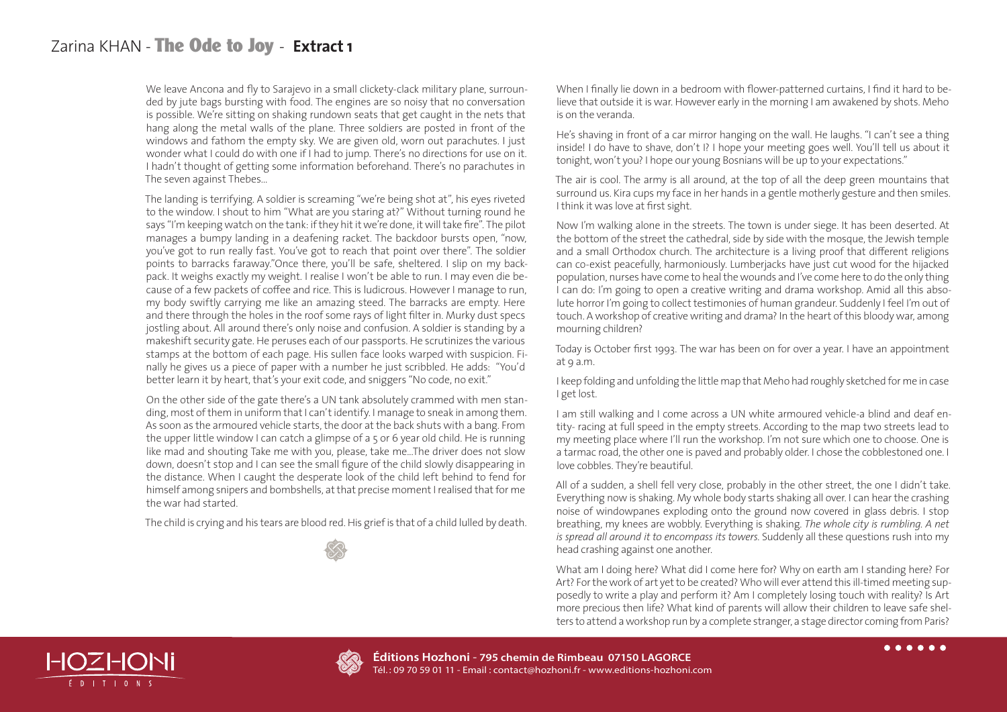## Zarina KHAN - The Ode to Joy - **Extract 1**

We leave Ancona and fly to Sarajevo in a small clickety-clack military plane, surrounded by jute bags bursting with food. The engines are so noisy that no conversation is possible. We're sitting on shaking rundown seats that get caught in the nets that hang along the metal walls of the plane. Three soldiers are posted in front of the windows and fathom the empty sky. We are given old, worn out parachutes. I just wonder what I could do with one if I had to jump. There's no directions for use on it. I hadn't thought of getting some information beforehand. There's no parachutes in The seven against Thebes…

The landing is terrifying. A soldier is screaming "we're being shot at", his eyes riveted to the window. I shout to him "What are you staring at?" Without turning round he says "I'm keeping watch on the tank: if they hit it we're done, it will take fire". The pilot manages a bumpy landing in a deafening racket. The backdoor bursts open, "now, you've got to run really fast. You've got to reach that point over there". The soldier points to barracks faraway."Once there, you'll be safe, sheltered. I slip on my backpack. It weighs exactly my weight. I realise I won't be able to run. I may even die because of a few packets of coffee and rice. This is ludicrous. However I manage to run, my body swiftly carrying me like an amazing steed. The barracks are empty. Here and there through the holes in the roof some rays of light filter in. Murky dust specs jostling about. All around there's only noise and confusion. A soldier is standing by a makeshift security gate. He peruses each of our passports. He scrutinizes the various stamps at the bottom of each page. His sullen face looks warped with suspicion. Finally he gives us a piece of paper with a number he just scribbled. He adds: "You'd better learn it by heart, that's your exit code, and sniggers "No code, no exit."

On the other side of the gate there's a UN tank absolutely crammed with men standing, most of them in uniform that I can't identify. I manage to sneak in among them. As soon as the armoured vehicle starts, the door at the back shuts with a bang. From the upper little window I can catch a glimpse of a 5 or 6 year old child. He is running like mad and shouting Take me with you, please, take me...The driver does not slow down, doesn't stop and I can see the small figure of the child slowly disappearing in the distance. When I caught the desperate look of the child left behind to fend for himself among snipers and bombshells, at that precise moment I realised that for me the war had started.

The child is crying and his tears are blood red. His grief is that of a child lulled by death.

When I finally lie down in a bedroom with flower-patterned curtains, I find it hard to believe that outside it is war. However early in the morning I am awakened by shots. Meho is on the veranda.

He's shaving in front of a car mirror hanging on the wall. He laughs. "I can't see a thing inside! I do have to shave, don't I? I hope your meeting goes well. You'll tell us about it tonight, won't you? I hope our young Bosnians will be up to your expectations."

The air is cool. The army is all around, at the top of all the deep green mountains that surround us. Kira cups my face in her hands in a gentle motherly gesture and then smiles. I think it was love at first sight.

Now I'm walking alone in the streets. The town is under siege. It has been deserted. At the bottom of the street the cathedral, side by side with the mosque, the Jewish temple and a small Orthodox church. The architecture is a living proof that different religions can co-exist peacefully, harmoniously. Lumberjacks have just cut wood for the hijacked population, nurses have come to heal the wounds and I've come here to do the only thing I can do: I'm going to open a creative writing and drama workshop. Amid all this absolute horror I'm going to collect testimonies of human grandeur. Suddenly I feel I'm out of touch. A workshop of creative writing and drama? In the heart of this bloody war, among mourning children?

Today is October first 1993. The war has been on for over a year. I have an appointment at 9 a.m.

I keep folding and unfolding the little map that Meho had roughly sketched for me in case I get lost.

I am still walking and I come across a UN white armoured vehicle-a blind and deaf entity- racing at full speed in the empty streets. According to the map two streets lead to my meeting place where I'll run the workshop. I'm not sure which one to choose. One is a tarmac road, the other one is paved and probably older. I chose the cobblestoned one. I love cobbles. They're beautiful.

All of a sudden, a shell fell very close, probably in the other street, the one I didn't take. Everything now is shaking. My whole body starts shaking all over. I can hear the crashing noise of windowpanes exploding onto the ground now covered in glass debris. I stop breathing, my knees are wobbly. Everything is shaking. *The whole city is rumbling. A net is spread all around it to encompass its towers*. Suddenly all these questions rush into my head crashing against one another.

What am I doing here? What did I come here for? Why on earth am I standing here? For Art? For the work of art yet to be created? Who will ever attend this ill-timed meeting supposedly to write a play and perform it? Am I completely losing touch with reality? Is Art more precious then life? What kind of parents will allow their children to leave safe shelters to attend a workshop run by a complete stranger, a stage director coming from Paris?